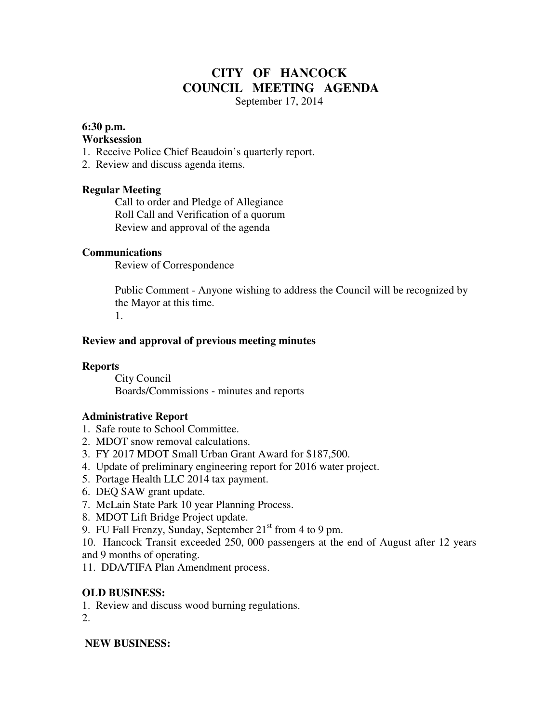# **CITY OF HANCOCK COUNCIL MEETING AGENDA**

September 17, 2014

#### **6:30 p.m.**

#### **Worksession**

- 1. Receive Police Chief Beaudoin's quarterly report.
- 2. Review and discuss agenda items.

## **Regular Meeting**

 Call to order and Pledge of Allegiance Roll Call and Verification of a quorum Review and approval of the agenda

## **Communications**

Review of Correspondence

 Public Comment - Anyone wishing to address the Council will be recognized by the Mayor at this time. 1.

## **Review and approval of previous meeting minutes**

#### **Reports**

City Council Boards/Commissions - minutes and reports

## **Administrative Report**

- 1. Safe route to School Committee.
- 2. MDOT snow removal calculations.
- 3. FY 2017 MDOT Small Urban Grant Award for \$187,500.
- 4. Update of preliminary engineering report for 2016 water project.
- 5. Portage Health LLC 2014 tax payment.
- 6. DEQ SAW grant update.
- 7. McLain State Park 10 year Planning Process.
- 8. MDOT Lift Bridge Project update.
- 9. FU Fall Frenzy, Sunday, September  $21<sup>st</sup>$  from 4 to 9 pm.
- 10. Hancock Transit exceeded 250, 000 passengers at the end of August after 12 years and 9 months of operating.
- 11. DDA/TIFA Plan Amendment process.

## **OLD BUSINESS:**

1. Review and discuss wood burning regulations.

2.

## **NEW BUSINESS:**